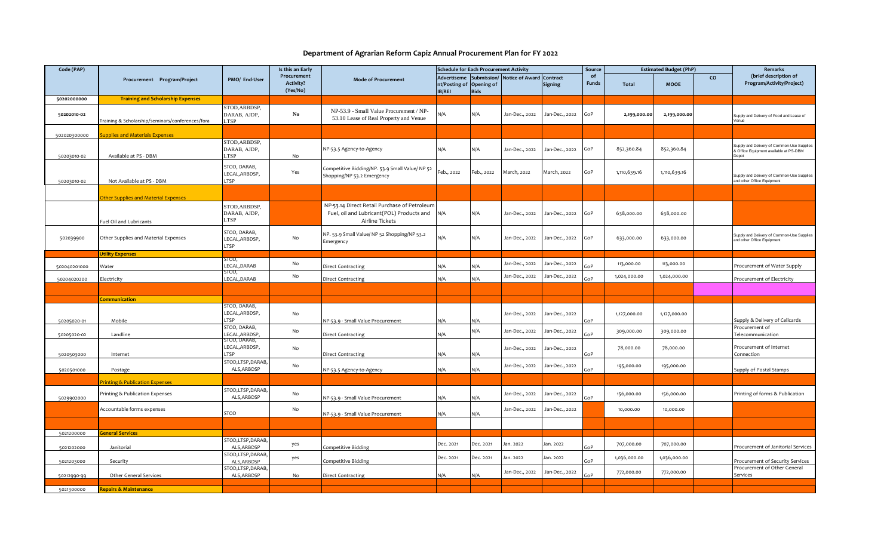## **Department of Agrarian Reform Capiz Annual Procurement Plan for FY 2022**

| Code (PAP)   |                                                 |                                              | Is this an Early                            |                                                                                                              | <b>Schedule for Each Procurement Activity</b>                   |                            |                          |                | Source             | <b>Estimated Budget (PhP)</b> |              |                | Remarks                                                                                       |
|--------------|-------------------------------------------------|----------------------------------------------|---------------------------------------------|--------------------------------------------------------------------------------------------------------------|-----------------------------------------------------------------|----------------------------|--------------------------|----------------|--------------------|-------------------------------|--------------|----------------|-----------------------------------------------------------------------------------------------|
|              | Procurement Program/Project                     | PMO/ End-User                                | Procurement<br><b>Activity?</b><br>(Yes/No) | <b>Mode of Procurement</b>                                                                                   | <b>Advertiseme</b><br>nt/Posting of Opening of<br><b>IB/REI</b> | Submission/<br><b>Bids</b> | Notice of Award Contract | <b>Signing</b> | of<br><b>Funds</b> | Total                         | <b>MOOE</b>  | $\overline{c}$ | (brief description of<br>Program/Activity/Project)                                            |
| 50202000000  | <b>Training and Scholarship Expenses</b>        |                                              |                                             |                                                                                                              |                                                                 |                            |                          |                |                    |                               |              |                |                                                                                               |
| 50202010-02  | raining & Scholarship/seminars/conferences/fora | STOD, ARBDSP,<br>DARAB, AJDP,<br><b>LTSP</b> | $\mathbf{N}\mathbf{o}$                      | NP-53.9 - Small Value Procurement / NP-<br>53.10 Lease of Real Property and Venue                            | N/A                                                             | N/A                        | Jan-Dec., 2022           | Jan-Dec., 2022 | GoP                | 2,199,000.00                  | 2,199,000.00 |                | Supply and Delivery of Food and Lease of<br>Venue                                             |
| 502020300000 | upplies and Materials Expenses                  |                                              |                                             |                                                                                                              |                                                                 |                            |                          |                |                    |                               |              |                |                                                                                               |
| 50203010-02  | Available at PS - DBM                           | STOD, ARBDSP,<br>DARAB, AJDP,<br><b>TSP</b>  | No                                          | NP-53.5 Agency-to-Agency                                                                                     | N/A                                                             | N/A                        | Jan-Dec., 2022           | Jan-Dec., 2022 | GoP                | 852,360.84                    | 852,360.84   |                | Supply and Delivery of Common-Use Supplies<br>& Office Equipment available at PS-DBM<br>Depot |
| 50203010-02  | Not Available at PS - DBM                       | STOD, DARAB,<br>LEGAL, ARBDSP,<br>LTSP       | Yes                                         | Competitive Bidding/NP. 53.9 Small Value/ NP 52<br>Shopping/NP 53.2 Emergency                                | Feb., 2022                                                      | Feb., 2022                 | March, 2022              | March, 2022    | GoP                | 1,110,639.16                  | 1,110,639.16 |                | Supply and Delivery of Common-Use Supplies<br>and other Office Equipment                      |
|              |                                                 |                                              |                                             |                                                                                                              |                                                                 |                            |                          |                |                    |                               |              |                |                                                                                               |
|              | ther Supplies and Material Expenses             |                                              |                                             |                                                                                                              |                                                                 |                            |                          |                |                    |                               |              |                |                                                                                               |
|              | uel Oil and Lubricants                          | STOD, ARBDSP,<br>DARAB, AJDP,<br>LTSP        |                                             | NP-53.14 Direct Retail Purchase of Petroleum<br>Fuel, oil and Lubricant(POL) Products and<br>Airline Tickets | N/A                                                             | N/A                        | Jan-Dec., 2022           | Jan-Dec., 2022 | GoP                | 638,000.00                    | 638,000.00   |                |                                                                                               |
| 502039900    | Other Supplies and Material Expenses            | STOD, DARAB,<br>LEGAL, ARBDSP,<br>LTSP       | No                                          | NP. 53.9 Small Value/ NP 52 Shopping/NP 53.2<br>Emergency                                                    | N/A                                                             | N/A                        | Jan-Dec., 2022           | Jan-Dec., 2022 | GoP                | 633,000.00                    | 633,000.00   |                | Supply and Delivery of Common-Use Supplies<br>and other Office Equipment                      |
|              | <b>Jtility Expenses</b>                         |                                              |                                             |                                                                                                              |                                                                 |                            |                          |                |                    |                               |              |                |                                                                                               |
| 502040201000 | Nater                                           | STOD,<br>LEGAL, DARAB                        | No                                          | Direct Contracting                                                                                           | N/A                                                             | N/A                        | Jan-Dec., 2022           | Jan-Dec., 2022 | ioP                | 113,000.00                    | 113,000.00   |                | Procurement of Water Supply                                                                   |
| 50204020200  | Electricity                                     | STOD,<br>LEGAL, DARAB                        | No                                          | Direct Contracting                                                                                           | N/A                                                             | N/A                        | Jan-Dec., 2022           | Jan-Dec., 2022 | GoP                | 1,024,000.00                  | 1,024,000.00 |                | Procurement of Electricity                                                                    |
|              |                                                 |                                              |                                             |                                                                                                              |                                                                 |                            |                          |                |                    |                               |              |                |                                                                                               |
|              | ommunication                                    |                                              |                                             |                                                                                                              |                                                                 |                            |                          |                |                    |                               |              |                |                                                                                               |
|              |                                                 | STOD, DARAB,                                 |                                             |                                                                                                              |                                                                 |                            |                          |                |                    |                               |              |                |                                                                                               |
| 50205020-01  | Mobile                                          | LEGAL, ARBDSP,<br>LTSP                       | No                                          | NP-53.9 - Small Value Procurement                                                                            | N/A                                                             | N/A                        | Jan-Dec., 2022           | Jan-Dec., 2022 | GoP                | 1,127,000.00                  | 1,127,000.00 |                | Supply & Delivery of Cellcards                                                                |
|              | Landline                                        | STOD, DARAB,<br>LEGAL, ARBDSP,               | No                                          | Direct Contracting                                                                                           | N/A                                                             | N/A                        | Jan-Dec., 2022           | Jan-Dec., 2022 | GoP                | 309,000.00                    | 309,000.00   |                | Procurement of<br>Telecommunication                                                           |
| 50205020-02  |                                                 | STOD, DARAB,                                 |                                             |                                                                                                              |                                                                 |                            |                          |                |                    |                               |              |                |                                                                                               |
| 5020503000   | Internet                                        | LEGAL, ARBDSP,<br><b>TSP</b>                 | No                                          | Direct Contracting                                                                                           | N/A                                                             | N/A                        | Jan-Dec., 2022           | Jan-Dec., 2022 | GoP                | 78,000.00                     | 78,000.00    |                | Procurement of Internet<br>Connection                                                         |
|              |                                                 | STOD,LTSP,DARAB,<br>ALS, ARBDSP              | No                                          |                                                                                                              |                                                                 |                            | Jan-Dec., 2022           | Jan-Dec., 2022 |                    | 195,000.00                    | 195,000.00   |                |                                                                                               |
| 5020501000   | Postage                                         |                                              |                                             | NP-53.5 Agency-to-Agency                                                                                     | N/A                                                             | N/A                        |                          |                | GoP                |                               |              |                | Supply of Postal Stamps                                                                       |
|              | rinting & Publication Expenses                  |                                              |                                             |                                                                                                              |                                                                 |                            |                          |                |                    |                               |              |                |                                                                                               |
| 5029902000   | Printing & Publication Expenses                 | STOD,LTSP,DARAB,<br>ALS, ARBDSP              | No                                          | NP-53.9 - Small Value Procurement                                                                            | N/A                                                             | N/A                        | Jan-Dec., 2022           | Jan-Dec., 2022 | GoP                | 156,000.00                    | 156,000.00   |                | Printing of forms & Publication                                                               |
|              | Accountable forms expenses                      | <b>STOD</b>                                  | No                                          | VP-53.9 - Small Value Procurement                                                                            | N/A                                                             | N/A                        | Jan-Dec., 2022           | Jan-Dec., 2022 |                    | 10,000.00                     | 10,000.00    |                |                                                                                               |
|              |                                                 |                                              |                                             |                                                                                                              |                                                                 |                            |                          |                |                    |                               |              |                |                                                                                               |
| 5021200000   | eneral Services                                 |                                              |                                             |                                                                                                              |                                                                 |                            |                          |                |                    |                               |              |                |                                                                                               |
| 5021202000   | Janitorial                                      | TOD,LTSP,DARAB,<br>ALS, ARBDSP               | yes                                         | Competitive Bidding                                                                                          | Dec. 2021                                                       | Dec. 2021                  | Jan. 2022                | Jan. 2022      | GoP                | 707,000.00                    | 707,000.00   |                | Procurement of Janitorial Services                                                            |
| 5021203000   | Security                                        | TOD,LTSP,DARAB,<br>ALS, ARBDSP               | yes                                         | Competitive Bidding                                                                                          | Dec. 2021                                                       | Dec. 2021                  | Jan. 2022                | lan. 2022      | GoP                | 1,036,000.00                  | 1,036,000.00 |                | Procurement of Security Services                                                              |
| 50212990-99  | Other General Services                          | TOD,LTSP,DARAB,<br>ALS, ARBDSP               | No                                          | Direct Contracting                                                                                           | N/A                                                             | N/A                        | Jan-Dec., 2022           | Jan-Dec., 2022 | GoP                | 772,000.00                    | 772,000.00   |                | Procurement of Other General<br>Services                                                      |
|              |                                                 |                                              |                                             |                                                                                                              |                                                                 |                            |                          |                |                    |                               |              |                |                                                                                               |
| 5021300000   | <b>Repairs &amp; Maintenance</b>                |                                              |                                             |                                                                                                              |                                                                 |                            |                          |                |                    |                               |              |                |                                                                                               |